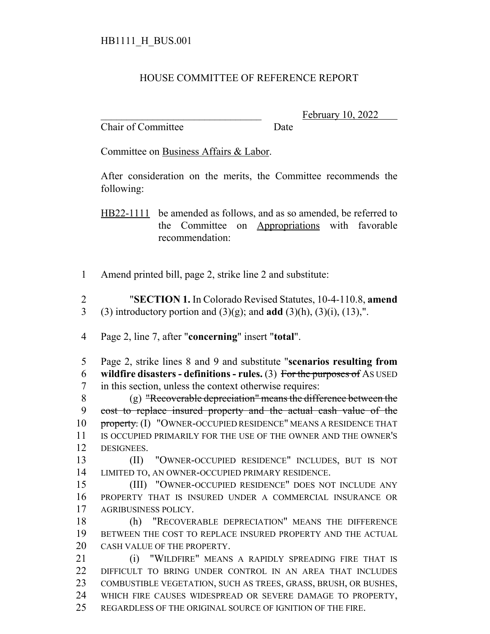## HOUSE COMMITTEE OF REFERENCE REPORT

Chair of Committee Date

February 10, 2022

Committee on Business Affairs & Labor.

After consideration on the merits, the Committee recommends the following:

HB22-1111 be amended as follows, and as so amended, be referred to the Committee on Appropriations with favorable recommendation:

Amend printed bill, page 2, strike line 2 and substitute:

 "**SECTION 1.** In Colorado Revised Statutes, 10-4-110.8, **amend** (3) introductory portion and (3)(g); and **add** (3)(h), (3)(i), (13),".

Page 2, line 7, after "**concerning**" insert "**total**".

 Page 2, strike lines 8 and 9 and substitute "**scenarios resulting from wildfire disasters - definitions - rules.** (3) For the purposes of AS USED in this section, unless the context otherwise requires:

 (g) "Recoverable depreciation" means the difference between the cost to replace insured property and the actual cash value of the 10 property. (I) "OWNER-OCCUPIED RESIDENCE" MEANS A RESIDENCE THAT IS OCCUPIED PRIMARILY FOR THE USE OF THE OWNER AND THE OWNER'S DESIGNEES.

 (II) "OWNER-OCCUPIED RESIDENCE" INCLUDES, BUT IS NOT LIMITED TO, AN OWNER-OCCUPIED PRIMARY RESIDENCE.

 (III) "OWNER-OCCUPIED RESIDENCE" DOES NOT INCLUDE ANY PROPERTY THAT IS INSURED UNDER A COMMERCIAL INSURANCE OR AGRIBUSINESS POLICY.

 (h) "RECOVERABLE DEPRECIATION" MEANS THE DIFFERENCE BETWEEN THE COST TO REPLACE INSURED PROPERTY AND THE ACTUAL CASH VALUE OF THE PROPERTY.

**(i) "WILDFIRE" MEANS A RAPIDLY SPREADING FIRE THAT IS**  DIFFICULT TO BRING UNDER CONTROL IN AN AREA THAT INCLUDES COMBUSTIBLE VEGETATION, SUCH AS TREES, GRASS, BRUSH, OR BUSHES, WHICH FIRE CAUSES WIDESPREAD OR SEVERE DAMAGE TO PROPERTY, REGARDLESS OF THE ORIGINAL SOURCE OF IGNITION OF THE FIRE.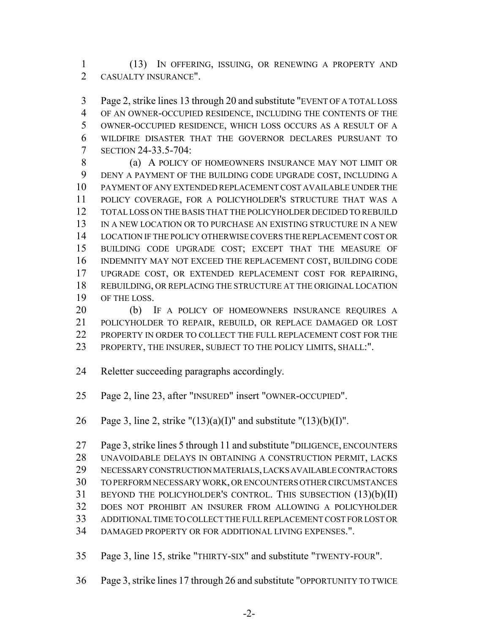(13) IN OFFERING, ISSUING, OR RENEWING A PROPERTY AND CASUALTY INSURANCE".

 Page 2, strike lines 13 through 20 and substitute "EVENT OF A TOTAL LOSS OF AN OWNER-OCCUPIED RESIDENCE, INCLUDING THE CONTENTS OF THE OWNER-OCCUPIED RESIDENCE, WHICH LOSS OCCURS AS A RESULT OF A WILDFIRE DISASTER THAT THE GOVERNOR DECLARES PURSUANT TO SECTION 24-33.5-704:

8 (a) A POLICY OF HOMEOWNERS INSURANCE MAY NOT LIMIT OR DENY A PAYMENT OF THE BUILDING CODE UPGRADE COST, INCLUDING A PAYMENT OF ANY EXTENDED REPLACEMENT COST AVAILABLE UNDER THE POLICY COVERAGE, FOR A POLICYHOLDER'S STRUCTURE THAT WAS A TOTAL LOSS ON THE BASIS THAT THE POLICYHOLDER DECIDED TO REBUILD IN A NEW LOCATION OR TO PURCHASE AN EXISTING STRUCTURE IN A NEW LOCATION IF THE POLICY OTHERWISE COVERS THE REPLACEMENT COST OR BUILDING CODE UPGRADE COST; EXCEPT THAT THE MEASURE OF INDEMNITY MAY NOT EXCEED THE REPLACEMENT COST, BUILDING CODE UPGRADE COST, OR EXTENDED REPLACEMENT COST FOR REPAIRING, REBUILDING, OR REPLACING THE STRUCTURE AT THE ORIGINAL LOCATION OF THE LOSS.

 (b) IF A POLICY OF HOMEOWNERS INSURANCE REQUIRES A POLICYHOLDER TO REPAIR, REBUILD, OR REPLACE DAMAGED OR LOST PROPERTY IN ORDER TO COLLECT THE FULL REPLACEMENT COST FOR THE PROPERTY, THE INSURER, SUBJECT TO THE POLICY LIMITS, SHALL:".

Reletter succeeding paragraphs accordingly.

Page 2, line 23, after "INSURED" insert "OWNER-OCCUPIED".

26 Page 3, line 2, strike " $(13)(a)(I)$ " and substitute " $(13)(b)(I)$ ".

 Page 3, strike lines 5 through 11 and substitute "DILIGENCE, ENCOUNTERS UNAVOIDABLE DELAYS IN OBTAINING A CONSTRUCTION PERMIT, LACKS NECESSARY CONSTRUCTION MATERIALS, LACKS AVAILABLE CONTRACTORS TO PERFORM NECESSARY WORK, OR ENCOUNTERS OTHER CIRCUMSTANCES BEYOND THE POLICYHOLDER'S CONTROL. THIS SUBSECTION (13)(b)(II) DOES NOT PROHIBIT AN INSURER FROM ALLOWING A POLICYHOLDER ADDITIONAL TIME TO COLLECT THE FULL REPLACEMENT COST FOR LOST OR DAMAGED PROPERTY OR FOR ADDITIONAL LIVING EXPENSES.".

Page 3, line 15, strike "THIRTY-SIX" and substitute "TWENTY-FOUR".

Page 3, strike lines 17 through 26 and substitute "OPPORTUNITY TO TWICE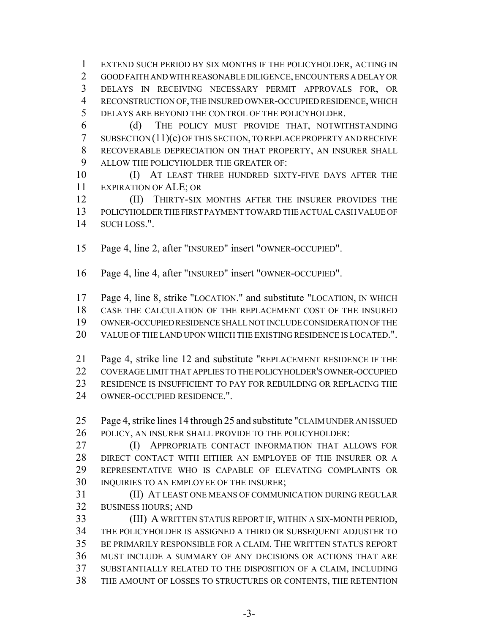EXTEND SUCH PERIOD BY SIX MONTHS IF THE POLICYHOLDER, ACTING IN GOOD FAITH AND WITH REASONABLE DILIGENCE, ENCOUNTERS A DELAY OR DELAYS IN RECEIVING NECESSARY PERMIT APPROVALS FOR, OR RECONSTRUCTION OF, THE INSURED OWNER-OCCUPIED RESIDENCE, WHICH DELAYS ARE BEYOND THE CONTROL OF THE POLICYHOLDER.

 (d) THE POLICY MUST PROVIDE THAT, NOTWITHSTANDING SUBSECTION (11)(c) OF THIS SECTION, TO REPLACE PROPERTY AND RECEIVE RECOVERABLE DEPRECIATION ON THAT PROPERTY, AN INSURER SHALL ALLOW THE POLICYHOLDER THE GREATER OF:

 (I) AT LEAST THREE HUNDRED SIXTY-FIVE DAYS AFTER THE EXPIRATION OF ALE; OR

**(II) THIRTY-SIX MONTHS AFTER THE INSURER PROVIDES THE**  POLICYHOLDER THE FIRST PAYMENT TOWARD THE ACTUAL CASH VALUE OF SUCH LOSS.".

Page 4, line 2, after "INSURED" insert "OWNER-OCCUPIED".

Page 4, line 4, after "INSURED" insert "OWNER-OCCUPIED".

 Page 4, line 8, strike "LOCATION." and substitute "LOCATION, IN WHICH CASE THE CALCULATION OF THE REPLACEMENT COST OF THE INSURED

OWNER-OCCUPIED RESIDENCE SHALL NOT INCLUDE CONSIDERATION OF THE

VALUE OF THE LAND UPON WHICH THE EXISTING RESIDENCE IS LOCATED.".

 Page 4, strike line 12 and substitute "REPLACEMENT RESIDENCE IF THE COVERAGE LIMIT THAT APPLIES TO THE POLICYHOLDER'S OWNER-OCCUPIED 23 RESIDENCE IS INSUFFICIENT TO PAY FOR REBUILDING OR REPLACING THE OWNER-OCCUPIED RESIDENCE.".

 Page 4, strike lines 14 through 25 and substitute "CLAIM UNDER AN ISSUED POLICY, AN INSURER SHALL PROVIDE TO THE POLICYHOLDER:

**(I) APPROPRIATE CONTACT INFORMATION THAT ALLOWS FOR**  DIRECT CONTACT WITH EITHER AN EMPLOYEE OF THE INSURER OR A REPRESENTATIVE WHO IS CAPABLE OF ELEVATING COMPLAINTS OR 30 INQUIRIES TO AN EMPLOYEE OF THE INSURER;

 (II) AT LEAST ONE MEANS OF COMMUNICATION DURING REGULAR BUSINESS HOURS; AND

 (III) A WRITTEN STATUS REPORT IF, WITHIN A SIX-MONTH PERIOD, THE POLICYHOLDER IS ASSIGNED A THIRD OR SUBSEQUENT ADJUSTER TO BE PRIMARILY RESPONSIBLE FOR A CLAIM. THE WRITTEN STATUS REPORT MUST INCLUDE A SUMMARY OF ANY DECISIONS OR ACTIONS THAT ARE SUBSTANTIALLY RELATED TO THE DISPOSITION OF A CLAIM, INCLUDING THE AMOUNT OF LOSSES TO STRUCTURES OR CONTENTS, THE RETENTION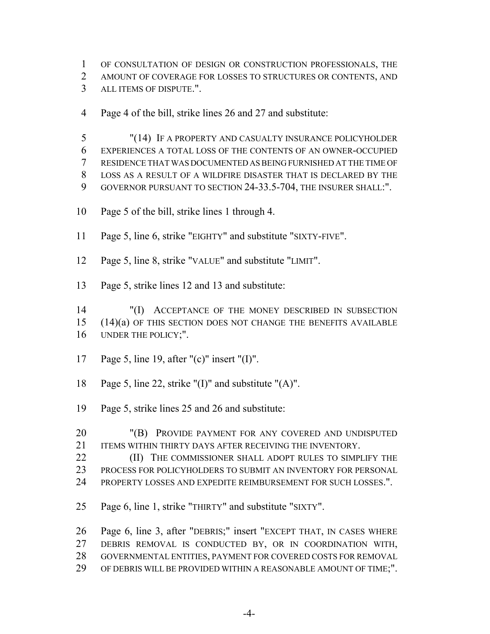OF CONSULTATION OF DESIGN OR CONSTRUCTION PROFESSIONALS, THE

AMOUNT OF COVERAGE FOR LOSSES TO STRUCTURES OR CONTENTS, AND

ALL ITEMS OF DISPUTE.".

Page 4 of the bill, strike lines 26 and 27 and substitute:

 "(14) IF A PROPERTY AND CASUALTY INSURANCE POLICYHOLDER EXPERIENCES A TOTAL LOSS OF THE CONTENTS OF AN OWNER-OCCUPIED RESIDENCE THAT WAS DOCUMENTED AS BEING FURNISHED AT THE TIME OF LOSS AS A RESULT OF A WILDFIRE DISASTER THAT IS DECLARED BY THE GOVERNOR PURSUANT TO SECTION 24-33.5-704, THE INSURER SHALL:".

- Page 5 of the bill, strike lines 1 through 4.
- Page 5, line 6, strike "EIGHTY" and substitute "SIXTY-FIVE".
- Page 5, line 8, strike "VALUE" and substitute "LIMIT".
- Page 5, strike lines 12 and 13 and substitute:

 "(I) ACCEPTANCE OF THE MONEY DESCRIBED IN SUBSECTION (14)(a) OF THIS SECTION DOES NOT CHANGE THE BENEFITS AVAILABLE UNDER THE POLICY;".

- Page 5, line 19, after "(c)" insert "(I)".
- Page 5, line 22, strike "(I)" and substitute "(A)".
- Page 5, strike lines 25 and 26 and substitute:
- "(B) PROVIDE PAYMENT FOR ANY COVERED AND UNDISPUTED 21 ITEMS WITHIN THIRTY DAYS AFTER RECEIVING THE INVENTORY.
- **(II)** THE COMMISSIONER SHALL ADOPT RULES TO SIMPLIFY THE PROCESS FOR POLICYHOLDERS TO SUBMIT AN INVENTORY FOR PERSONAL PROPERTY LOSSES AND EXPEDITE REIMBURSEMENT FOR SUCH LOSSES.".
- Page 6, line 1, strike "THIRTY" and substitute "SIXTY".

 Page 6, line 3, after "DEBRIS;" insert "EXCEPT THAT, IN CASES WHERE DEBRIS REMOVAL IS CONDUCTED BY, OR IN COORDINATION WITH, GOVERNMENTAL ENTITIES, PAYMENT FOR COVERED COSTS FOR REMOVAL OF DEBRIS WILL BE PROVIDED WITHIN A REASONABLE AMOUNT OF TIME;".